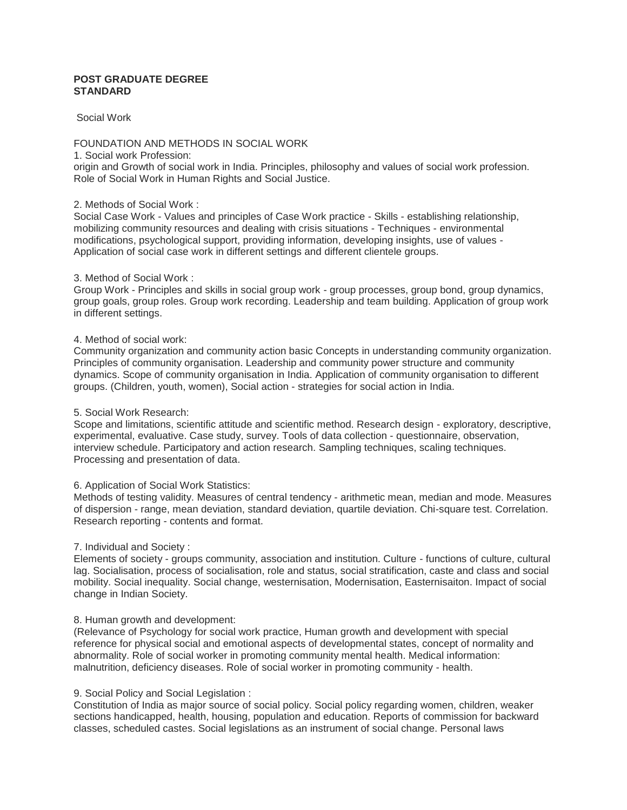# **POST GRADUATE DEGREE STANDARD**

# Social Work

# FOUNDATION AND METHODS IN SOCIAL WORK

#### 1. Social work Profession:

origin and Growth of social work in India. Principles, philosophy and values of social work profession. Role of Social Work in Human Rights and Social Justice.

### 2. Methods of Social Work :

Social Case Work - Values and principles of Case Work practice - Skills - establishing relationship, mobilizing community resources and dealing with crisis situations - Techniques - environmental modifications, psychological support, providing information, developing insights, use of values - Application of social case work in different settings and different clientele groups.

### 3. Method of Social Work :

Group Work - Principles and skills in social group work - group processes, group bond, group dynamics, group goals, group roles. Group work recording. Leadership and team building. Application of group work in different settings.

### 4. Method of social work:

Community organization and community action basic Concepts in understanding community organization. Principles of community organisation. Leadership and community power structure and community dynamics. Scope of community organisation in India. Application of community organisation to different groups. (Children, youth, women), Social action - strategies for social action in India.

# 5. Social Work Research:

Scope and limitations, scientific attitude and scientific method. Research design - exploratory, descriptive, experimental, evaluative. Case study, survey. Tools of data collection - questionnaire, observation, interview schedule. Participatory and action research. Sampling techniques, scaling techniques. Processing and presentation of data.

#### 6. Application of Social Work Statistics:

Methods of testing validity. Measures of central tendency - arithmetic mean, median and mode. Measures of dispersion - range, mean deviation, standard deviation, quartile deviation. Chi-square test. Correlation. Research reporting - contents and format.

# 7. Individual and Society :

Elements of society - groups community, association and institution. Culture - functions of culture, cultural lag. Socialisation, process of socialisation, role and status, social stratification, caste and class and social mobility. Social inequality. Social change, westernisation, Modernisation, Easternisaiton. Impact of social change in Indian Society.

# 8. Human growth and development:

(Relevance of Psychology for social work practice, Human growth and development with special reference for physical social and emotional aspects of developmental states, concept of normality and abnormality. Role of social worker in promoting community mental health. Medical information: malnutrition, deficiency diseases. Role of social worker in promoting community - health.

# 9. Social Policy and Social Legislation :

Constitution of India as major source of social policy. Social policy regarding women, children, weaker sections handicapped, health, housing, population and education. Reports of commission for backward classes, scheduled castes. Social legislations as an instrument of social change. Personal laws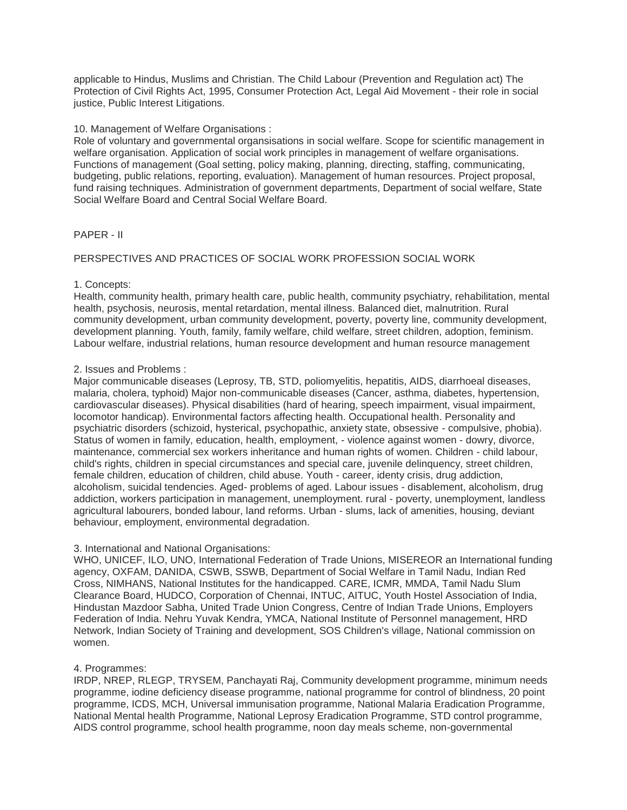applicable to Hindus, Muslims and Christian. The Child Labour (Prevention and Regulation act) The Protection of Civil Rights Act, 1995, Consumer Protection Act, Legal Aid Movement - their role in social justice, Public Interest Litigations.

### 10. Management of Welfare Organisations :

Role of voluntary and governmental organsisations in social welfare. Scope for scientific management in welfare organisation. Application of social work principles in management of welfare organisations. Functions of management (Goal setting, policy making, planning, directing, staffing, communicating, budgeting, public relations, reporting, evaluation). Management of human resources. Project proposal, fund raising techniques. Administration of government departments, Department of social welfare, State Social Welfare Board and Central Social Welfare Board.

### PAPER - II

# PERSPECTIVES AND PRACTICES OF SOCIAL WORK PROFESSION SOCIAL WORK

### 1. Concepts:

Health, community health, primary health care, public health, community psychiatry, rehabilitation, mental health, psychosis, neurosis, mental retardation, mental illness. Balanced diet, malnutrition. Rural community development, urban community development, poverty, poverty line, community development, development planning. Youth, family, family welfare, child welfare, street children, adoption, feminism. Labour welfare, industrial relations, human resource development and human resource management

### 2. Issues and Problems :

Major communicable diseases (Leprosy, TB, STD, poliomyelitis, hepatitis, AIDS, diarrhoeal diseases, malaria, cholera, typhoid) Major non-communicable diseases (Cancer, asthma, diabetes, hypertension, cardiovascular diseases). Physical disabilities (hard of hearing, speech impairment, visual impairment, locomotor handicap). Environmental factors affecting health. Occupational health. Personality and psychiatric disorders (schizoid, hysterical, psychopathic, anxiety state, obsessive - compulsive, phobia). Status of women in family, education, health, employment, - violence against women - dowry, divorce, maintenance, commercial sex workers inheritance and human rights of women. Children - child labour, child's rights, children in special circumstances and special care, juvenile delinquency, street children, female children, education of children, child abuse. Youth - career, identy crisis, drug addiction, alcoholism, suicidal tendencies. Aged- problems of aged. Labour issues - disablement, alcoholism, drug addiction, workers participation in management, unemployment. rural - poverty, unemployment, landless agricultural labourers, bonded labour, land reforms. Urban - slums, lack of amenities, housing, deviant behaviour, employment, environmental degradation.

#### 3. International and National Organisations:

WHO, UNICEF, ILO, UNO, International Federation of Trade Unions, MISEREOR an International funding agency, OXFAM, DANIDA, CSWB, SSWB, Department of Social Welfare in Tamil Nadu, Indian Red Cross, NIMHANS, National Institutes for the handicapped. CARE, ICMR, MMDA, Tamil Nadu Slum Clearance Board, HUDCO, Corporation of Chennai, INTUC, AITUC, Youth Hostel Association of India, Hindustan Mazdoor Sabha, United Trade Union Congress, Centre of Indian Trade Unions, Employers Federation of India. Nehru Yuvak Kendra, YMCA, National Institute of Personnel management, HRD Network, Indian Society of Training and development, SOS Children's village, National commission on women.

#### 4. Programmes:

IRDP, NREP, RLEGP, TRYSEM, Panchayati Raj, Community development programme, minimum needs programme, iodine deficiency disease programme, national programme for control of blindness, 20 point programme, ICDS, MCH, Universal immunisation programme, National Malaria Eradication Programme, National Mental health Programme, National Leprosy Eradication Programme, STD control programme, AIDS control programme, school health programme, noon day meals scheme, non-governmental